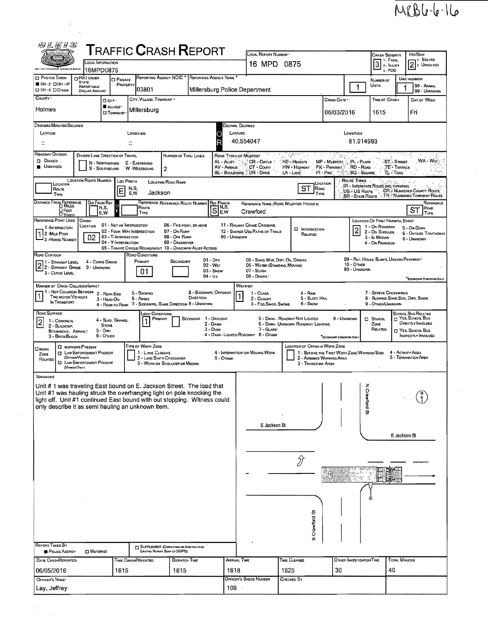## $MRBl-l-1l$

| 网络医牙器                                                                                                                                                                                                                                                                                        |                                                                                                                                                                                                                                                                                                                                                                                                                                                                            |                                                                        |                                                                                           |                                                                             |              |                                                                                 |                                                                                                   |                                                                                                                                         |                                                                                                                                                                                                   |                                       |                                              |                                            |                                                                                                                        |  |  |  |
|----------------------------------------------------------------------------------------------------------------------------------------------------------------------------------------------------------------------------------------------------------------------------------------------|----------------------------------------------------------------------------------------------------------------------------------------------------------------------------------------------------------------------------------------------------------------------------------------------------------------------------------------------------------------------------------------------------------------------------------------------------------------------------|------------------------------------------------------------------------|-------------------------------------------------------------------------------------------|-----------------------------------------------------------------------------|--------------|---------------------------------------------------------------------------------|---------------------------------------------------------------------------------------------------|-----------------------------------------------------------------------------------------------------------------------------------------|---------------------------------------------------------------------------------------------------------------------------------------------------------------------------------------------------|---------------------------------------|----------------------------------------------|--------------------------------------------|------------------------------------------------------------------------------------------------------------------------|--|--|--|
| TRAFFIC <b>C</b> RASH <b>R</b> EPORT<br>LOCAL INFORMATION                                                                                                                                                                                                                                    |                                                                                                                                                                                                                                                                                                                                                                                                                                                                            |                                                                        |                                                                                           |                                                                             |              |                                                                                 | LOCAL REPORT NUMBER<br>16 MPD 0875                                                                |                                                                                                                                         |                                                                                                                                                                                                   | <b>CRASH SEVERITY</b><br>$31$ - Fatal |                                              | Hm/SKIP<br>– 1 - Solveo<br>$2$ 2. UNSOLVED |                                                                                                                        |  |  |  |
| <b>D</b> PHOTOS TAKEN                                                                                                                                                                                                                                                                        | 16MPD0875<br><b>DPDO UNDER</b><br><b>STATE</b>                                                                                                                                                                                                                                                                                                                                                                                                                             | <b>D</b> PRIVATE                                                       | REPORTING AGENCY NCIC                                                                     |                                                                             |              | REPORTING AGENCY NAME                                                           |                                                                                                   |                                                                                                                                         |                                                                                                                                                                                                   |                                       | 3-PDO<br>NUMBER OF                           |                                            | UNIT IN ERROR                                                                                                          |  |  |  |
| <b>BOH-2 CIOH-1P</b><br><b>DOH-3 DOTHER</b><br>COUNTY <sup>*</sup>                                                                                                                                                                                                                           | REPORTABLE<br><b>DOLLAR AMOUNT</b>                                                                                                                                                                                                                                                                                                                                                                                                                                         | PROPERTY                                                               | 03801                                                                                     |                                                                             |              |                                                                                 | Millersburg Police Department                                                                     |                                                                                                                                         |                                                                                                                                                                                                   |                                       | <b>UNITS</b>                                 |                                            | 98 - Animal<br>99 - UNKNOWN                                                                                            |  |  |  |
| Holmes                                                                                                                                                                                                                                                                                       |                                                                                                                                                                                                                                                                                                                                                                                                                                                                            | D CITY .<br>WILLAGE*<br><b>CJ TOWNSHP</b>                              | CITY, VILLAGE, TOWNSHIP .<br>Millersburg                                                  |                                                                             |              |                                                                                 |                                                                                                   |                                                                                                                                         | CRASH DATE<br>06/03/2016                                                                                                                                                                          |                                       | TIME OF CRASH<br>1615                        |                                            | DAY OF WEEK<br>Fri                                                                                                     |  |  |  |
| DEGREES/MINUTES/SECONDS<br>LATITUDE                                                                                                                                                                                                                                                          |                                                                                                                                                                                                                                                                                                                                                                                                                                                                            |                                                                        | LONGITUDE                                                                                 |                                                                             |              | Decimal Degrees<br>LATITUDE<br>LONGITUDE                                        |                                                                                                   |                                                                                                                                         |                                                                                                                                                                                                   |                                       |                                              |                                            |                                                                                                                        |  |  |  |
| $\ddot{\phantom{a}}$                                                                                                                                                                                                                                                                         |                                                                                                                                                                                                                                                                                                                                                                                                                                                                            |                                                                        |                                                                                           |                                                                             |              |                                                                                 | R<br>40.554047<br>81.914993                                                                       |                                                                                                                                         |                                                                                                                                                                                                   |                                       |                                              |                                            |                                                                                                                        |  |  |  |
| <b>ROADWAY DIVISION</b><br><b>DIVIDED</b><br><b>UNDIVIDED</b>                                                                                                                                                                                                                                | DIVIDED LANE DIRECTION OF TRAVEL<br>N - NORTHBOUND<br>S - SOUTHBOUND                                                                                                                                                                                                                                                                                                                                                                                                       |                                                                        | E - EASTBOUND<br>W -WESTBOUND                                                             | NUMBER OF THRU LANES<br>2                                                   |              | AV - AVENUE                                                                     | ROAD TYPES OF MILEPOST<br>AL - ALLEY : " PR - CIRCLE<br>CT - COURT<br>BL - BOULEVARD - DR - DRIVE | HE'-Heights<br>HW - HIGHWAY<br>LA-LANE                                                                                                  | ÷.<br><b>MP - MILEPOST</b><br>PK - PARKWAY<br>PI - Pike: m@" SQ - Souvre                                                                                                                          | PL - PLACE<br>RD - Road               | TL-TRAI                                      | ST-Smaar<br>TE <sup>-</sup> Terrace        | WA - Way                                                                                                               |  |  |  |
| LOCATION<br>Route<br><b>TYPE</b>                                                                                                                                                                                                                                                             | <b>LOCATION ROUTE NUMBER</b>                                                                                                                                                                                                                                                                                                                                                                                                                                               | LOC PREFIX<br>E                                                        | N,S,<br>Jackson<br>E,W                                                                    | LOCATION ROAD NAME                                                          |              |                                                                                 |                                                                                                   | <b>ST</b><br>ROAD<br>TYPE                                                                                                               | Location                                                                                                                                                                                          | Route Types                           | <b>IR - INTERSTATE ROUTE (INC. TURNPIKE)</b> |                                            | US - US Roune " GR. NUMBERED COUNTY ROUTE"<br>SR - STATE ROUTE N. NUMBERED TOWNSHIP ROUTE                              |  |  |  |
| DISTANCE FROM REFERENCE<br>$Q$ FEET<br><b>DYARDS</b>                                                                                                                                                                                                                                         | DIR FROM REF<br>N, S,<br>E,W                                                                                                                                                                                                                                                                                                                                                                                                                                               | F                                                                      | ROUTE<br>TYPE                                                                             | REFERENCE REFERENCE ROUTE NUMBER                                            |              | <b>REF PREFIX</b><br>$\overline{\mathsf{s}}\overline{\mathsf{R}}^{\mathsf{NS}}$ | Crawford                                                                                          | REFERENCE NAME (ROAD, MILEPOST, HOUSE #)                                                                                                |                                                                                                                                                                                                   |                                       |                                              |                                            | REFERENCE<br>Roap<br>ST<br>TYPE                                                                                        |  |  |  |
| REFERENCE POINT USED<br>1-INTERSECTION<br>2 MILE POST<br>3 HOUSE NUMBER                                                                                                                                                                                                                      | CRASH<br>LOCATION<br>02                                                                                                                                                                                                                                                                                                                                                                                                                                                    | 01 - NOT AN INTERSECTION<br>03 - T-INTERSECTION<br>04 - Y-INTERSECTION | 02 - Four-WAY INTERSECTION<br>05 - TRAFFIC CIRCLE/ ROUNDABOUT 10 - DRIVEWAY/ ALLEY ACCESS | 06 - FIVE-POINT, OR MORE<br>07 - ON RAMP<br>08 - OFF RAMP<br>09 - Crossover | 99 - Unknown | 11 - RAILWAY GRADE CROSSING<br>12 - SHARED USE PATHS OR TRAILS                  | $\Box$ Intersection<br>RELATED                                                                    |                                                                                                                                         | Location Of First Harmful Event<br>1 - On ROADWAY<br>5 - On GORE<br>$\overline{\mathbf{c}}$<br>2 - ON SHOULDE<br><b>6 - OUTSIDE TRAFFICWAY</b><br>3 - In Median<br>9 - UNKNOWN<br>4 - On ROADSIDE |                                       |                                              |                                            |                                                                                                                        |  |  |  |
| Road Contour<br>1 - STRAIGHT LEVEL<br>$2\overline{\smash{)}2}$ - Straight Level 4 - Curve CR<br>$2\overline{\smash{)}2}$ - Straight Grade 9 - Unknown<br>3 - CURVE LEVEL                                                                                                                     | 4 - CURVE GRADE                                                                                                                                                                                                                                                                                                                                                                                                                                                            |                                                                        | ROAD CONDITIONS<br>PRIMARY<br>01                                                          | SECONDARY                                                                   | $04 - 1cE$   | $01 - \text{Div}$<br>02 - WET<br>$03 -$ SNOW                                    | 05 - SANO, MUD, DIRT, OIL, GRAVEL<br>06 - WATER (STANDING, MOVING)<br>$07 -$ SLUSH<br>08 - DEBRIS |                                                                                                                                         |                                                                                                                                                                                                   | $10 -$ Omen<br>99 - UNKNOWN           | 09 - RUT, HOLES, BUMPS, UNEVEN PAVEMENT*     |                                            | "SECONDARY CONDITION ONLY                                                                                              |  |  |  |
|                                                                                                                                                                                                                                                                                              | <b>MANNER OF CRASH COLLISION/IMPACT</b><br>WEATHER<br>1 - Not Colusion Between 2 - Rear-End<br>8 - SIDESWIPE, OPPOSITE<br>7 - SEVERE CROSSWINDS<br>5 - BACKING<br>$4 - R_{AM}$<br>1 - CLEAR<br>TWO MOTOR VEHICLES<br>DIRECTION<br>5 - SLEET, HAIL<br>8 - BLOWING SAND, SOIL, DIRT, SNOW<br>6 - Aware<br>2 - CLOUDY<br>3 - HEAD-ON<br>IN TRANSPORT<br>7 - SIDESWIPE, SAME DIRECTION 9 - UNKNOWN<br>6 - SNOW<br>9 - OTHER/UNKNOWN<br>3 - Fog.Smog. Smoke<br>4 - REAR TO-REAR |                                                                        |                                                                                           |                                                                             |              |                                                                                 |                                                                                                   |                                                                                                                                         |                                                                                                                                                                                                   |                                       |                                              |                                            |                                                                                                                        |  |  |  |
| ROAD SURFACE<br>1 - CONCRETE<br>2 - BLACKTOP.<br>BITUMINOUS, ASPHALT<br>3 - BRICK/BLOCK                                                                                                                                                                                                      | $5 - DIRT$<br>$6 -$ OTHER                                                                                                                                                                                                                                                                                                                                                                                                                                                  | 4 - SLAG, GRAVEL,<br><b>STONE</b>                                      | Light Conditions<br>PRIMARY                                                               |                                                                             | SECONDAR     | 1 - DAYLIGHT<br>2 - DAWN<br>$3 -$ Dusk                                          | 7 - GLARE<br>4 - DARK - LIGHTEO ROADWAY 8 - OTHER                                                 | 5 - DARK - ROADWAY NOT LIGHTED<br>6 - DARK - UNKNOWN ROADWAY LIGHTING                                                                   | 9 - UNKNOWN<br>*SECONDARY CONDITION ONLY                                                                                                                                                          |                                       | El School<br>ZONE<br>RELATED                 |                                            | SCHOOL BUS RELATED<br>T YES, SCHOOL BUS<br>DIRECTLY INVOLVED<br><b>M YES. SCHOOL BUS</b><br><b>INDIRECTLY INVOLVED</b> |  |  |  |
| <b>LIWORK</b><br>ZONE<br>RELATED                                                                                                                                                                                                                                                             | <b>U</b> WORKERS PRESENT<br><b>CI LAW ENFORCEMENT PRESENT</b><br>(OFFICER/VEHICLE)<br><b>CI LAW ENFORCEMENT PRESENT</b><br>(VEHICLEOMY)                                                                                                                                                                                                                                                                                                                                    |                                                                        | TYPE OF WORK ZONE<br>1 - LANE CLOSURE<br>2 - LANE SHIFT/ CROSSOVER                        | 3 - WORK ON SHOULDER OR MEDIAN                                              |              | $5 -$ OTHER                                                                     | 4 - INTERMITTENT OR MOVING WORK                                                                   | <b>LOCATION OF CRASH IN WORK ZONE</b><br>1 - BEFORE THE FIRST WORK ZONE WARNING SIGN<br>2 - ADVANCE WARNING AREA<br>3 - TRANSITION AREA |                                                                                                                                                                                                   |                                       |                                              |                                            | 4 - ACTIVITY AREA<br>5 - TERMINATION AREA                                                                              |  |  |  |
| Narrative<br>Unit # 1 was traveling East bound on E. Jackson Street. The load that<br>Unit #1 was hauling struck the overhanging light on pole knocking the<br>light off. Unit #1 continued East bound with out stopping. Witness could<br>only describe it as semi hauling an unknown item. |                                                                                                                                                                                                                                                                                                                                                                                                                                                                            |                                                                        |                                                                                           |                                                                             |              | E Jackson St                                                                    |                                                                                                   |                                                                                                                                         | z<br>Crawford<br>$\mathbf Q$                                                                                                                                                                      |                                       |                                              |                                            |                                                                                                                        |  |  |  |
|                                                                                                                                                                                                                                                                                              |                                                                                                                                                                                                                                                                                                                                                                                                                                                                            |                                                                        |                                                                                           |                                                                             |              | E Jackson St                                                                    |                                                                                                   |                                                                                                                                         |                                                                                                                                                                                                   |                                       |                                              |                                            |                                                                                                                        |  |  |  |
|                                                                                                                                                                                                                                                                                              |                                                                                                                                                                                                                                                                                                                                                                                                                                                                            |                                                                        |                                                                                           |                                                                             |              |                                                                                 | ĵĵ                                                                                                |                                                                                                                                         |                                                                                                                                                                                                   |                                       |                                              |                                            |                                                                                                                        |  |  |  |
| <b>REPORT TAKEN BY</b>                                                                                                                                                                                                                                                                       |                                                                                                                                                                                                                                                                                                                                                                                                                                                                            |                                                                        |                                                                                           | SUPPLEMENT (CORRECTION OR ADDITION TO AN                                    |              |                                                                                 |                                                                                                   | ö<br>Crawford<br>ω                                                                                                                      |                                                                                                                                                                                                   |                                       |                                              |                                            |                                                                                                                        |  |  |  |
| POLICE AGENCY<br>DATE CRASHREPORTED                                                                                                                                                                                                                                                          | <b>D</b> MOTORIST                                                                                                                                                                                                                                                                                                                                                                                                                                                          |                                                                        | TIME CRASHREPORTED                                                                        | Existing Report Sent to ODPS)<br><b>DISPATCH TIME</b>                       |              |                                                                                 | ARRIVAL TIME                                                                                      | TIME CLEARED                                                                                                                            |                                                                                                                                                                                                   | OTHER INVESTIGATION TIME              |                                              | <b>TOTAL MINUTES</b>                       |                                                                                                                        |  |  |  |
| 06/05/2016                                                                                                                                                                                                                                                                                   |                                                                                                                                                                                                                                                                                                                                                                                                                                                                            | 1615                                                                   |                                                                                           | 1615                                                                        |              | 1618                                                                            | OFFICER'S BADGE NUMBER                                                                            | 1625                                                                                                                                    | 30                                                                                                                                                                                                |                                       | 40                                           |                                            |                                                                                                                        |  |  |  |
| OFFICER'S NAME*<br>Lay, Jeffrey                                                                                                                                                                                                                                                              |                                                                                                                                                                                                                                                                                                                                                                                                                                                                            |                                                                        |                                                                                           |                                                                             |              | 109                                                                             |                                                                                                   | CHECKED BY                                                                                                                              |                                                                                                                                                                                                   |                                       |                                              |                                            |                                                                                                                        |  |  |  |

 $\frac{1}{\sqrt{2}}\sum_{i=1}^{n-1}\frac{1}{i} \sum_{j=1}^{n-1} \frac{1}{j} \sum_{j=1}^{n-1} \frac{1}{j} \sum_{j=1}^{n-1} \frac{1}{j} \sum_{j=1}^{n-1} \frac{1}{j} \sum_{j=1}^{n-1} \frac{1}{j} \sum_{j=1}^{n-1} \frac{1}{j} \sum_{j=1}^{n-1} \frac{1}{j} \sum_{j=1}^{n-1} \frac{1}{j} \sum_{j=1}^{n-1} \frac{1}{j} \sum_{j=1}^{n-1} \frac{1}{j} \sum$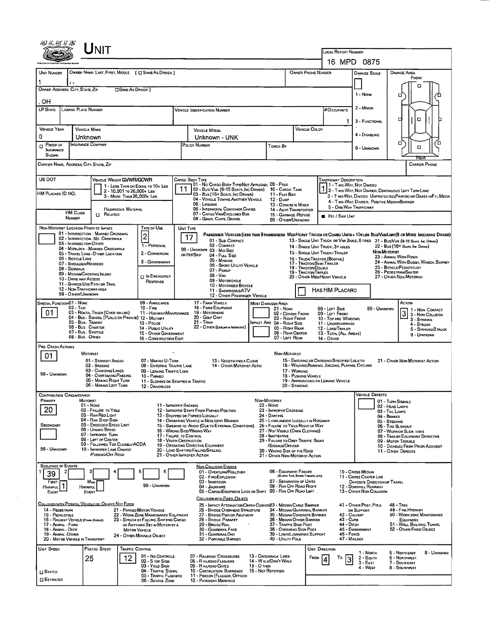|                                                                                                                                                                                                                                                                                                                                                                                                                                                                                                                                                                                                                                                                         |                                                                                                                                                                                                                                                                                                                                                                                                                                                                                                                                                     | <b>LOCAL REPORT NUMBER</b><br>16 MPD 0875                                                                                                                                                                                                                                                                                                                                                                                                                                                                                                                                                                                                                               |  |  |  |  |  |  |  |  |
|-------------------------------------------------------------------------------------------------------------------------------------------------------------------------------------------------------------------------------------------------------------------------------------------------------------------------------------------------------------------------------------------------------------------------------------------------------------------------------------------------------------------------------------------------------------------------------------------------------------------------------------------------------------------------|-----------------------------------------------------------------------------------------------------------------------------------------------------------------------------------------------------------------------------------------------------------------------------------------------------------------------------------------------------------------------------------------------------------------------------------------------------------------------------------------------------------------------------------------------------|-------------------------------------------------------------------------------------------------------------------------------------------------------------------------------------------------------------------------------------------------------------------------------------------------------------------------------------------------------------------------------------------------------------------------------------------------------------------------------------------------------------------------------------------------------------------------------------------------------------------------------------------------------------------------|--|--|--|--|--|--|--|--|
| UNIT NUMSER<br>OWNER NAME: LAST, FIRST, MIDDLE ( C SAME AS DRIVER )                                                                                                                                                                                                                                                                                                                                                                                                                                                                                                                                                                                                     |                                                                                                                                                                                                                                                                                                                                                                                                                                                                                                                                                     | OWNER PHONE NUMBER<br><b>DAMAGE AREA</b><br><b>DAMAGE SCALE</b>                                                                                                                                                                                                                                                                                                                                                                                                                                                                                                                                                                                                         |  |  |  |  |  |  |  |  |
|                                                                                                                                                                                                                                                                                                                                                                                                                                                                                                                                                                                                                                                                         |                                                                                                                                                                                                                                                                                                                                                                                                                                                                                                                                                     | FRONT<br>n                                                                                                                                                                                                                                                                                                                                                                                                                                                                                                                                                                                                                                                              |  |  |  |  |  |  |  |  |
| OWNER ADDRESS: CITY, STATE, ZIP<br><b>CISAME AS DRIVER</b> )                                                                                                                                                                                                                                                                                                                                                                                                                                                                                                                                                                                                            | 1 - None<br>α                                                                                                                                                                                                                                                                                                                                                                                                                                                                                                                                       |                                                                                                                                                                                                                                                                                                                                                                                                                                                                                                                                                                                                                                                                         |  |  |  |  |  |  |  |  |
| OН<br><b>LP STATE</b><br>LICENSE PLATE NUMBER                                                                                                                                                                                                                                                                                                                                                                                                                                                                                                                                                                                                                           | Vehicle Identification Number                                                                                                                                                                                                                                                                                                                                                                                                                                                                                                                       | 2 - MINOR<br>#Occupants                                                                                                                                                                                                                                                                                                                                                                                                                                                                                                                                                                                                                                                 |  |  |  |  |  |  |  |  |
|                                                                                                                                                                                                                                                                                                                                                                                                                                                                                                                                                                                                                                                                         |                                                                                                                                                                                                                                                                                                                                                                                                                                                                                                                                                     | о<br>3 - FUNCTIONAL<br>ı                                                                                                                                                                                                                                                                                                                                                                                                                                                                                                                                                                                                                                                |  |  |  |  |  |  |  |  |
| <b>VEHICLE YEAR</b><br><b>VEHICLE MAKE</b><br>0<br>Unknown                                                                                                                                                                                                                                                                                                                                                                                                                                                                                                                                                                                                              | <b>VEHICLE MODEL</b><br>Unknown - UNK                                                                                                                                                                                                                                                                                                                                                                                                                                                                                                               | VEHICLE COLOR<br>4 - DISABLING                                                                                                                                                                                                                                                                                                                                                                                                                                                                                                                                                                                                                                          |  |  |  |  |  |  |  |  |
| INSURANCE COMPANY<br>$P$ ROOF OF<br>INSURANCE<br><b>SHOWN</b>                                                                                                                                                                                                                                                                                                                                                                                                                                                                                                                                                                                                           | POLICY NUMBER<br>Toweo By                                                                                                                                                                                                                                                                                                                                                                                                                                                                                                                           | о<br>о<br>O<br>9 - UNKNOWN                                                                                                                                                                                                                                                                                                                                                                                                                                                                                                                                                                                                                                              |  |  |  |  |  |  |  |  |
| CARRIER NAME, ADDRESS, CITY, STATE, ZIP                                                                                                                                                                                                                                                                                                                                                                                                                                                                                                                                                                                                                                 |                                                                                                                                                                                                                                                                                                                                                                                                                                                                                                                                                     | <b>CARRIER PHONE</b>                                                                                                                                                                                                                                                                                                                                                                                                                                                                                                                                                                                                                                                    |  |  |  |  |  |  |  |  |
| US DOT<br>VEHICLE WEIGHT GVWR/GCWR<br>1 - LESS THAN OR EQUAL TO 10K LBS<br>2 - 10,001 To 26,000 k LBS<br>HM PLACARD ID NO.<br>3 - MORE THAN 26,000K LBS.<br>HAZARDOUS MATERIAL<br><b>HM Cuss</b>                                                                                                                                                                                                                                                                                                                                                                                                                                                                        | CARGO BOOY TYPE<br>01 - No CARGO BODY TYPE/NOT APPLICABL 09 - POLE<br>02 - Bus/Van (9-15 Seats, Inc Driver)<br>10 - CARGO TANK<br>03 - Bus (16+ Seats, Inc Driver)<br>11 - Flat Bed<br>04 - VEHICLE TOWING ANOTHER VEHICLE<br>12 - Dump<br>05 - Logging<br>06 - INTERMODAL CONTAINER CHASIS                                                                                                                                                                                                                                                         | TRAFFICWAY DESCRIPTION<br>1 - Two-Way, Nor Divideo<br>2 - Two WAY, NOT DIVIDED, CONTINUOUS LEFT TURN LANE<br>3 - T WO-WAY, DIVIDEO. UNPROTECTED (PAINTEO OR GRASS >4FT.) MEDIA<br>4 - Two-Way, Divideo, Positive Median Barrier<br>13 - CONCRETE MIXER<br>5 - ONE WAY TRAFFICWAY<br>14 - Auto Transporter                                                                                                                                                                                                                                                                                                                                                               |  |  |  |  |  |  |  |  |
| $\Box$<br>RELATED<br><b>NUMBER</b>                                                                                                                                                                                                                                                                                                                                                                                                                                                                                                                                                                                                                                      | 07 - CARGO VAN/ENCLOSEO BOX<br>08 - Grain, Chips, Gravel                                                                                                                                                                                                                                                                                                                                                                                                                                                                                            | 15 - GARBAGE / REFUSE<br><b>E</b> Hit / Skip UNIT<br>99 - OTHER/UNXNOWN                                                                                                                                                                                                                                                                                                                                                                                                                                                                                                                                                                                                 |  |  |  |  |  |  |  |  |
| NON-MOTORIST LOCATION PRIOR TO IMPACT<br>Type of Use<br>01 - INTERSECTION - MARKED CROSSWAL<br>2<br>02 - INTERSECTION - NO CROSSWALK<br>03 - INTERSECTION OTHER<br>1 - PERSONAL<br>04 - MIDSLOCK - MARKEO CROSSWALK<br>2 - COMMERCIAL<br>05 - TRAVEL LANE - OTHER LOCATION<br>06 - BICYCLE LANE<br>3 - GOVERNMENT<br>07 - SHOULDER/ROADSIDE<br>08 - SIDEWALK<br>09 - MEDIAN/CROSSING ISLAND<br><b>IN EMERGENCY</b><br>10 - DAME WAY ACCESS<br>RESPONSE<br>11 - SHARED-USE PATH OR TRAIL<br>12 - NON-TRAFFICWAY AREA<br>99 - OTHER/UNKNOWN                                                                                                                               | UNIT TYPE<br>17<br>01 - Sua COMPACT<br>02 - COMPACT<br>99 - UNKNOWN 03 - MID SIZE<br>OR HIT/SKIP<br>04 - Full Size<br>05 - MINIVAN<br>06 - Sport UTILITY VEHICLE<br>07 - Pickup<br>08 - VAN<br>09 - MOTORCYCLE<br>10 - Motorized Bicycle<br>11 - SNOWMOBILE/ATV<br>12 - OTHER PASSENGER VEHICLE                                                                                                                                                                                                                                                     | PASSENGER VEHICLES (LESS THAN 9 PASSENGERS MEDIMEAVY TRUCKS OR COMBO UNITS = 10KLES BUS/VAM/LIMO(9 OR MORE INCLUDING DRIVER)<br>13 - SINGLE UNIT TRUCK OR VAN ZAXLE, 6 TIRES 21 - BUS/VAN (9-15 SEATS, INC DRIVER)<br>22 - Bus (16+ Sears, Inc Driver)<br>14 - SINGLE UNIT TRUCK: 3+ AXLES<br>Non-Mororist<br>15 - SINGLE LINIT TRUCK / TRAILER<br>23 - Animal With Rider<br>16 - TRUCK/TRACTOR (BOBTAIL)<br>24 - ANIMAL WITH BUGGY, WAGON, SURREY<br>17 - TRACTOR/SEMI-TRALER<br>25 - BICYCLE/PEDACYCLIST<br>18 - Tractor/Double<br>26 - PEDESTRIAN/SKATER<br><b>19 - TRACTOR TRIPLES</b><br>20 - OTHER MEDIHEAVY VEHICLE<br>27 - OTHER NON-MOTORIST<br>HAS HM PLACARD |  |  |  |  |  |  |  |  |
| SPECIAL FUNCTION 01 - NONE<br>09 - AMBULANCE<br>02 - TAXI<br>$10 - F$ <sub>RE</sub><br>01<br>03 - RENTAL TRUCK (OVER 10KLBS)<br>04 - Bus - SCHOOL (PUBLIC OR PRIVATE) 12 - MILITARY<br>05 - Bus - Transit<br>13 - Pouce<br>06 - Bus. Charter<br>14 - Public Utility<br>07 - Bus - SHUTTLE<br>08 - Bus - Other                                                                                                                                                                                                                                                                                                                                                           | 17 - FARM VEHICLE<br>Most Damageo Area<br><b>18 - FARM EQUIPMENT</b><br>$01 - None$<br>19 - Мотовноме<br>11 - HIGHWAY/MAINTENANCE<br>20 - Golf Cart<br>$21 -$ Train<br>MPACT ARE 04 - RIGHT SIDE<br>22 - OTHER (EXPLAIN IN NASRATIVE)<br>15 - OTHER GOVERNMENT<br>16 - CONSTRUCTION EQIP.                                                                                                                                                                                                                                                           | ACTION<br>08 - LEFT SIDE<br>99 - UNKNOWN<br>1 - Non-Contact<br>3 2 - Non-Collision<br>02 - CENTER FRONT<br>09 - LEFT FRONT<br>03 - Right Front<br>10 - Top and Windows<br>3 - STRIKING<br>11 - UNDERCARRIAGE<br>4 - STRUCK<br>05 RIGHT REAR<br>12 - LOAD/TRALER<br>5 - STRIKING/STRUCK<br>06 - REAR CENTER<br>13 - TOTAL (ALL AREAS)<br>9 - Unknown<br>07 - LEFT REAR<br>$14 -$ OTHER                                                                                                                                                                                                                                                                                   |  |  |  |  |  |  |  |  |
| PRE-CRASH ACTIONS<br>Non-MOTORIST<br>MOTORIST<br>01<br>15 - ENTERING OR CROSSING SPECIFIED LOCATIO<br>01 - STRAIGHT AHEAD<br>07 - MAKING U-TURN<br>21 - OTHER NON-MOTORIST ACTION<br>13 - Negotiating a Curve<br>16 - WALKING, RUNNING, JOGGING, PLAYING, CYCLING<br>02 - BACKING<br>08 - ENTERING TRAFFIC LANE<br>14 - OTHER MOTORIST ACTIO<br>03 - Changing LANES<br>09 - LEAVING TRAFFIC LANE<br>17 - WORKING<br>99 - UNKNOWN<br>04 - OVERTAKING/PASSING<br>18 - Pusicia Venici e<br>10 - PARKED<br>05 - MAKING RIGHT TURN<br>19 - APPROACHING OR LEAVING VEHICLE<br>11 - SLOWING OR STOPPED IN TRAFFIC<br>06 - MAKING LEFT TURN<br>20 - STANDING<br>12 - DRIVERLESS |                                                                                                                                                                                                                                                                                                                                                                                                                                                                                                                                                     |                                                                                                                                                                                                                                                                                                                                                                                                                                                                                                                                                                                                                                                                         |  |  |  |  |  |  |  |  |
| <b>CONTRIBUTING CIRCUMSTANCE</b><br>PRIMARY<br>MOTORIST<br>01 - None<br>20<br>02 - FAILURE TO YIELD<br>03 - RAN REO LIGHT<br>04 - RAN STOP SIGN<br>05 - Exceeped Speed Limit<br>SECONDARY<br>06 - Unsafe Speed<br>07 - IMPROPER TURN<br>08 - LEFT OF CENTER<br>09 - Followed Too Closely/ACDA<br>99 - UNKNOWN<br>10 - IMPROPER LANE CHANGE<br><b>PASSING OFF ROAD</b>                                                                                                                                                                                                                                                                                                   | Non-Motorist<br>22 - None<br>11 - IMPROPER BACKING<br>23 - IMPROPER CROSSING<br>12 - IMPROPER START FROM PARKED POSITION<br>13 - STOPPED OR PARKEO LLEGALLY<br>24 - DARTING<br>14 - OPERATING VEHICLE IN NEGLIGENT MANNER<br>15 - Swering to Avoid (Due to External Conditions)<br>16 - WRONG SIDE/WRONG WAY<br>17 - FALURE TO CONTROL<br>28 - INATTENTIVE<br>18 - VISION OBSTRUCTION<br>19 - OPERATING DEFECTIVE EQUIPMENT<br>/SIGNALS/OFFICER<br>20 - LOAD SHIFTING/FALLING/SPILLING<br>30 - WRONG SIDE OF THE ROAD<br>21 - OTHER IMPROPER ACTION | VEHICLE DEFECTS<br>01 - TURN SIGNALS<br>02 - HEAD LAMPS<br>03 - TAIL LAMPS<br>04 - BRAKES<br>25 - LYING AND/OR LLEGALLY IN ROADWAY<br>05 - STEERING<br>26 - FALURE TO YIELD RIGHT OF WAY<br>06 - TIRE BLOWOUT<br>27 - NOT VISIBLE (DARK CLOTHING)<br>07 - WORN OR SLICK TIRES<br>08 - TRAILER EQUIPMENT DEFECTIVE<br>29 - FAILURE TO OBEY TRAFFIC SIGNS<br>09 - MOTOR TROUBLE<br>10 - DISABLED FROM PRIOR ACCIDENT<br>11 - OTHER DEFECTS<br>31 - OTHER NON-MOTORIST ACTION                                                                                                                                                                                              |  |  |  |  |  |  |  |  |
| <b>SEQUENCE OF EVENTS</b><br>2<br>5<br>39<br>Most<br>FIRST<br>HARMFUL <sup>1</sup><br>99 - UNKNOWN<br>HARMFUL<br>EVENT<br>EVENT<br>COLLISION WITH PERSON, VEHICLE OR OBJECT NOT FIXED<br>14 - PEDESTRIAN<br>21 - PARKEO MOTOR VEHICLE<br>15 - PEOALCYCLE<br>22 - WORK ZONE MAINTENANCE EQUIPMENT<br>16 - RAILWAY VEHICLE (TRAIN, ENGINE)<br>23 - STRUCK BY FALLING, SHIPTING CARGO<br>17 - ANIMAL - FARM<br>OR ANYTHING SET IN MOTION BY A                                                                                                                                                                                                                              | <b>NON-COLLISION EVENTS</b><br>6<br>01 - OVERTURN/ROLLOVER<br>02 - FIRE/EXPLOSION<br>03 - IMMERSION<br>04 - JACKKNIFE<br>05 - CARGO/EQUIPMENT LOSS OR SHIFT 09 - RAN OFF ROAD LEFT<br>COLLISION WITH FIXED, OBJECT<br>25 - IMPACT ATTENUATOR/CRASH CUSHIOXO3 - MEDIAN CABLE BARRIER<br>26 - BRIDGE OVERHEAD STRUCTURE<br>27 - BRIDGE PIER OR ABUTMENT<br>28 - BROGE PARAPET<br>29 - BRIDGE RAIL                                                                                                                                                     | 05 - EQUIPMENT FAILURE<br>10 - Cross Median<br>(BLOWN TIME, BRAKE FAILURE, ETC)<br>11 - CROSS CENTER LINE<br>07 - SEPARATION OF UNITS<br>OPPOSITE DIRECTION OF TRAVEL<br>08 - RAN OFF ROAD RIGHT<br>12 - DOWNHILL RUNAWAY<br>13 - OTHER NON-COLLISION<br>41 - OTHER POST, POLE<br><b>48 - TREE</b><br>49 - FIRE HYDRANT<br>34 - MEDIAN GUARDRAIL BARRIER<br>OR SUPPORT<br>50 - WORK ZONE MAINTENANCE<br>35 - Median Concrete Barrier<br>42 - CULVERT<br>$43 - C$ URB<br>36 - Median Other Barrier<br>EQUIPMENT<br>44 - Опен<br>51 - WALL, BULDING, TUNNEL<br>37 - TRAFFIC SIGN POST                                                                                     |  |  |  |  |  |  |  |  |
| 18 - Animal Deer<br><b>MOTOR VEHICLE</b><br>19 - ANMAL - OTHER<br>24 - Отнен Моуавце Овјест<br>20 - MOTGR VEHICLE IN TRANSPORT                                                                                                                                                                                                                                                                                                                                                                                                                                                                                                                                          | 30 - GUARDRAIL FACE<br>31 - GUARDRAILEND<br>32 - PORTABLE BARRIER<br>40 - UTILITY POLE                                                                                                                                                                                                                                                                                                                                                                                                                                                              | 45 - EMBANXMENT<br>38 - OVERHEAD SIGN POST<br>52 - OTHER FIXED OBJECT<br>39 - Light/Luminaries Support<br>46 - FENCE<br>47 - MAILBOX                                                                                                                                                                                                                                                                                                                                                                                                                                                                                                                                    |  |  |  |  |  |  |  |  |
| UNIT SPEED<br>POSTED SPEED<br>TRAFFIC CONTROL<br>01 - No CONTROLS<br>25<br>12.<br>02 - S TOP SIGN<br>03 - YIELD SIGN<br>$\square$ Stated<br><b>CI ESTIMATED</b><br>06 - SCHOOL ZONE                                                                                                                                                                                                                                                                                                                                                                                                                                                                                     | 07 - RAILROAD CROSSBUCKS<br>13 - Crosswalk Lines<br>14 - WALK/DON'T WALK<br>08 - RAILROAD FLASHERS<br>$15 - O$ THER<br>09 - RALROAD GATES<br>16 - Not Reported<br>04 - TRAFFIC SIGNAL<br>10 - Costruction Barricade<br>05 - TRAFFIC FLASHERS<br>11 - PERSON (FLAGGER, OFFICER<br><b>12 - PAVEMENT MARKINGS</b>                                                                                                                                                                                                                                      | UNIT DIRECTION<br>5 - NORTHEAST<br>9 - Unknown<br>1 - North<br>FROM<br>To<br>2 - South<br>6 - Northwest<br>3 - East<br>7 - SOUTHEAST<br>4 - West<br>8 - SOUTHWEST                                                                                                                                                                                                                                                                                                                                                                                                                                                                                                       |  |  |  |  |  |  |  |  |

 $\mathcal{A}^{\mathcal{A}}$